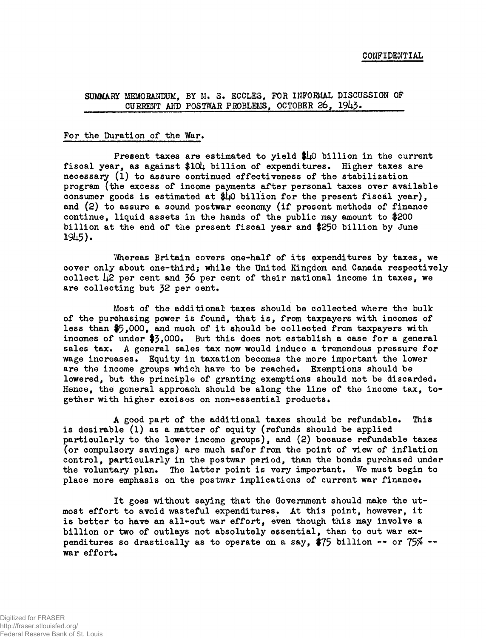# **SUMMARY MEMORANDUM, BY M. S. ECCLES, FOR INFORMAL DISCUSSION OF** CURRENT AND POSTWAR PROBLEMS, OCTOBER 26, 1943.

### **For the Duration of the War.**

**Present taxes are estimated to yield \$1\*0 billion in the current** fiscal year, as against \$104 billion of expenditures. Higher taxes are **necessary (l) to assure continued effectiveness of the stabilization program (the excess of income payments after personal taxes over available consumer goods is estimated at \$U0 billion for the present fiscal year), and (2) to assure a sound postwar economy (if present methods of finance continue, liquid assets in the hands of the public may amount to \$200 billion at the end of the present fiscal year and \$250 billion by June 191+5)\***

**Whereas Britain covers one-half of its expenditures by taxes, we cover only about one-third; while the United Kingdom and Canada respectively** collect 42 per cent and 36 per cent of their national income in taxes, we **are collecting but 32 per oent.**

**Most of the additional taxes should be collected where the bulk of the purchasing power is found, that is, from taxpayers with incomes of less than \$5»000, and much of it should be collected from taxpayers with incomes of under \$3\*000» But this does not establish a case for a general sales tax. A general sales tax now would induce a tremendous pressure for wage increases. Equity in taxation becomes the more important the lower are the income groups which have to be reached. Exemptions should be lowered, but the principle of granting exemptions should not be discarded. Hence, the general approach should be along the line of the income tax, together with higher excises on non-essential products.**

**A good part of the additional taxes should be refundable. This is desirable (l) as a matter of equity (refunds should be applied particularly to the lower income groups), and (2) because refundable taxes (or compulsory savings) are much safer from the point of view of inflation control, particularly in the postwar period, than the bonds purchased under the voluntary plan. The latter point is very important. We must begin to place more emphasis on the postwar implications of current war finance.**

**It goes without saying that the Government should make the utmost effort to avoid wasteful expenditures. At this point, however, it is better to have an all-out war effort, even though this may involve a billion or two of outlays not absolutely essential, than to cut war expenditures so drastically as to operate on a say, \$75 billion -- or 75\$ war effort.**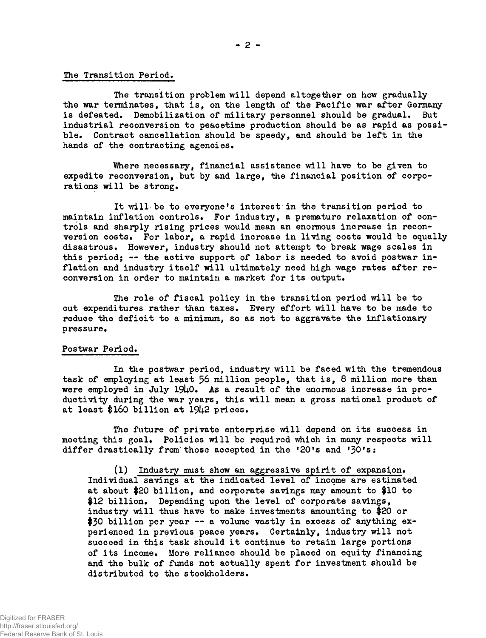## **The Transition Period.**

**The transition problem will depend altogether on how gradually the war terminates, that is, on the length of the Pacific war after Germany is defeated. Demobilization of military personnel should be gradual. But industrial reconversion to peacetime production should be as rapid as possible. Contract cancellation should be speedy, and should be left in the hands of the contracting agencies.**

**Where necessary, financial assistance will have to be given to expedite reconversion, but by and large, the financial position of corporations will be strong.**

**It will be to everyone's interest in the transition period to maintain inflation controls. For industry, a premature relaxation of controls and sharply rising prices would mean an enormous increase in reconversion costs. For labor, a rapid increase in living costs would be equally disastrous. However, industry should not attempt to break wage scales in this period; — the active support of labor is needed to avoid postwar inflation and industry itself will ultimately need high wage rates after reconversion in order to maintain a market for its output.**

**The role of fiscal policy in the transition period will be to cut expenditures rather than taxes. Every effort will have to be made to reduce the deficit to a minimum, so as not to aggravate the inflationary pressure.**

### **Postwar Period.**

**In the postwar period, industry will be faced with the tremendous task of employing at least 56 million people, that is, 8 million more than** were employed in July 1940. As a result of the enormous increase in pro**ductivity during the war years, this will mean a gross national product of at least \$160 billion at 19U2 prices.**

**The future of private enterprise will depend on its success in meeting this goal. Policies will be required which in many respects will differ drastically from'those accepted in the ^O's and '30'sî**

**(l) Industry must show an aggressive spirit of expansion. Individual savings at the indicated level of income are estimated at about \$20 billion, and corporate savings may amount to \$10 to \$12 billion. Depending upon the level of corporate savings, industry will thus have to make investments amounting to \$20 or \$30 billion per year — a volume vastly in excess of anything experienced in previous peace years. Certainly, industry will not succeed in this task should it continue to retain large portions of its income. More reliance should be placed on equity financing and the bulk of funds not actually spent for investment should be distributed to the stockholders.**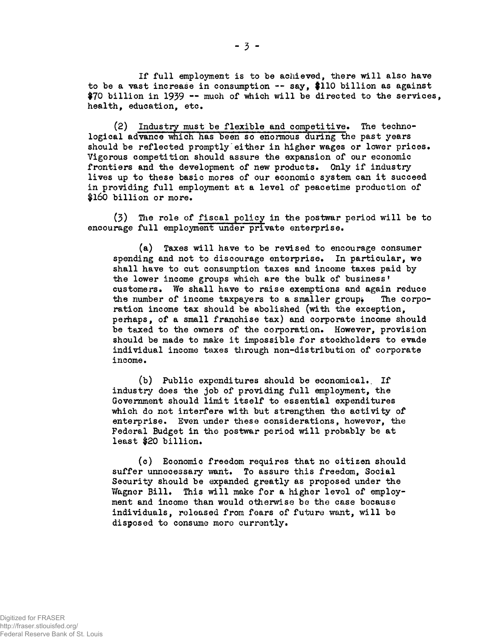**If full employment is to be achieved, there will also have to be a vast increase in consumption — say, \$110 billion as against** \$70 billion in 1939 -- much of which will be directed to the services, **health, education, etc.**

**(2) Industry must be flexible and competitive. The technological advance which has been so enormous during the past years should be reflected promptly'either in higher wages or lower prices. Vigorous competition should assure the expansion of our economic frontiers and the development of new products. Only if industry lives up to these basic mores of our economic system can it succeed in providing full employment at a level of peacetime production of \$160 billion or more.**

**(3) The role of fiscal policy in the postwar period will be to encourage full employment under private enterprise.**

**(a) Taxes will have to be revised to encourage consumer spending and not to discourage enterprise. In particular, we shall have to cut consumption taxes and income taxes paid by the lower income groups which are the bulk of business' customers. We shall have to raise exemptions and again reduce** the number of income taxpayers to a smaller group. The corpo**ration income tax should be abolished (with the exception, perhaps, of a small franchise tax) and corporate income should be taxed to the owners of the corporation. However, provision should be made to make it impossible for stockholders to evade individual income taxes through non-distribution of corporate income.**

**(b) Public expenditures should be economical., If industry does the job of providing full employment, the Government should limit itself to essential expenditures which do not interfere with but strengthen the activity of enterprise. Even under these considerations, however, the Federal Budget in the postwar period will probably be at least \$20 billion.**

**(c) Economic freedom requires that no citizen should suffer unnecessary want. To assure this freedom, Social Security should be expanded greatly as proposed under the Wagner Bill. This will make for a higher level of employment and income than would otherwise be the case because individuals, released from fears of future want, will be disposed to consume more currently.**